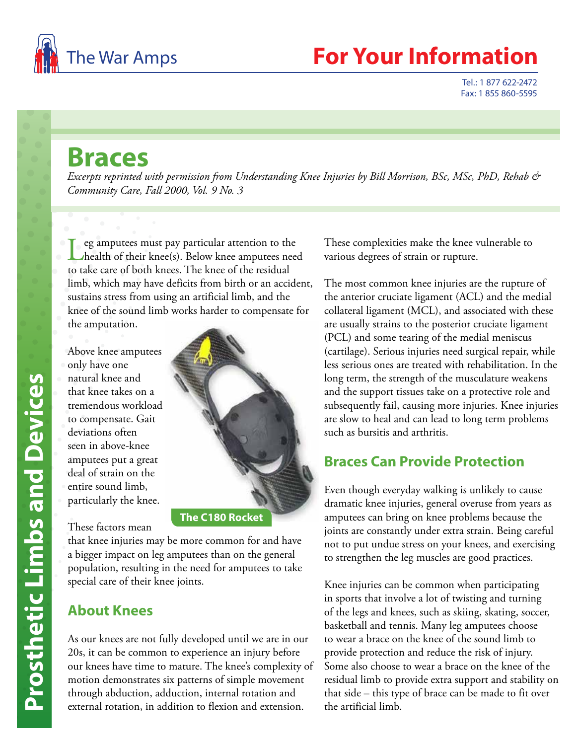

## The War Amps **For Your Information**

Tel.: 1 877 622-2472 Fax: 1 855 860-5595

## **Braces**

*Excerpts reprinted with permission from Understanding Knee Injuries by Bill Morrison, BSc, MSc, PhD, Rehab & Community Care, Fall 2000, Vol. 9 No. 3* 

 $\Gamma$  eg amputees must pay particular attention to the health of their knee(s). Below knee amputees need to take care of both knees. The knee of the residual limb, which may have deficits from birth or an accident, sustains stress from using an artificial limb, and the knee of the sound limb works harder to compensate for the amputation.

Above knee amputees only have one natural knee and that knee takes on a tremendous workload to compensate. Gait deviations often seen in above-knee amputees put a great deal of strain on the entire sound limb, particularly the knee.



These factors mean

**The C180 Rocket**

that knee injuries may be more common for and have a bigger impact on leg amputees than on the general population, resulting in the need for amputees to take special care of their knee joints.

## **About Knees**

As our knees are not fully developed until we are in our 20s, it can be common to experience an injury before our knees have time to mature. The knee's complexity of motion demonstrates six patterns of simple movement through abduction, adduction, internal rotation and external rotation, in addition to flexion and extension.

These complexities make the knee vulnerable to various degrees of strain or rupture.

The most common knee injuries are the rupture of the anterior cruciate ligament (ACL) and the medial collateral ligament (MCL), and associated with these are usually strains to the posterior cruciate ligament (PCL) and some tearing of the medial meniscus (cartilage). Serious injuries need surgical repair, while less serious ones are treated with rehabilitation. In the long term, the strength of the musculature weakens and the support tissues take on a protective role and subsequently fail, causing more injuries. Knee injuries are slow to heal and can lead to long term problems such as bursitis and arthritis.

## **Braces Can Provide Protection**

Even though everyday walking is unlikely to cause dramatic knee injuries, general overuse from years as amputees can bring on knee problems because the joints are constantly under extra strain. Being careful not to put undue stress on your knees, and exercising to strengthen the leg muscles are good practices.

Knee injuries can be common when participating in sports that involve a lot of twisting and turning of the legs and knees, such as skiing, skating, soccer, basketball and tennis. Many leg amputees choose to wear a brace on the knee of the sound limb to provide protection and reduce the risk of injury. Some also choose to wear a brace on the knee of the residual limb to provide extra support and stability on that side – this type of brace can be made to fit over the artificial limb.